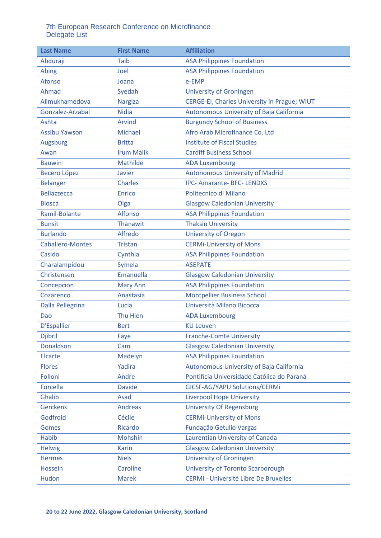## 7th European Research Conference on Microfinance Delegate List

| <b>Last Name</b>        | <b>First Name</b> | <b>Affiliation</b>                           |
|-------------------------|-------------------|----------------------------------------------|
| Abduraji                | <b>Taib</b>       | <b>ASA Philippines Foundation</b>            |
| <b>Abing</b>            | Joel              | <b>ASA Philippines Foundation</b>            |
| Afonso                  | Joana             | e-EMP                                        |
| Ahmad                   | Syedah            | <b>University of Groningen</b>               |
| Alimukhamedova          | <b>Nargiza</b>    | CERGE-EI, Charles University in Prague; WIUT |
| Gonzalez-Arzabal        | <b>Nidia</b>      | Autonomous University of Baja California     |
| Ashta                   | <b>Arvind</b>     | <b>Burgundy School of Business</b>           |
| <b>Assibu Yawson</b>    | Michael           | Afro Arab Microfinance Co. Ltd               |
| Augsburg                | <b>Britta</b>     | <b>Institute of Fiscal Studies</b>           |
| Awan                    | <b>Irum Malik</b> | <b>Cardiff Business School</b>               |
| <b>Bauwin</b>           | Mathilde          | <b>ADA Luxembourg</b>                        |
| Becero López            | Javier            | <b>Autonomous University of Madrid</b>       |
| <b>Belanger</b>         | <b>Charles</b>    | <b>IPC-Amarante-BFC-LENDXS</b>               |
| <b>Bellazzecca</b>      | <b>Enrico</b>     | Politecnico di Milano                        |
| <b>Biosca</b>           | Olga              | <b>Glasgow Caledonian University</b>         |
| Ramil-Bolante           | Alfonso           | <b>ASA Philippines Foundation</b>            |
| <b>Bunsit</b>           | Thanawit          | <b>Thaksin University</b>                    |
| <b>Burlando</b>         | Alfredo           | <b>University of Oregon</b>                  |
| <b>Caballero-Montes</b> | <b>Tristan</b>    | <b>CERMi-University of Mons</b>              |
| Casido                  | Cynthia           | <b>ASA Philippines Foundation</b>            |
| Charalampidou           | Symela            | <b>ASEPATE</b>                               |
| Christensen             | Emanuella         | <b>Glasgow Caledonian University</b>         |
| Concepcion              | <b>Mary Ann</b>   | <b>ASA Philippines Foundation</b>            |
| Cozarenco               | Anastasia         | <b>Montpellier Business School</b>           |
| Dalla Pellegrina        | Lucia             | Università Milano Bicocca                    |
| Dao                     | Thu Hien          | <b>ADA Luxembourg</b>                        |
| D'Espallier             | <b>Bert</b>       | <b>KU Leuven</b>                             |
| <b>Djibril</b>          | Faye              | <b>Franche-Comte University</b>              |
| Donaldson               | Cam               | <b>Glasgow Caledonian University</b>         |
| <b>Elcarte</b>          | Madelyn           | <b>ASA Philippines Foundation</b>            |
| <b>Flores</b>           | Yadira            | Autonomous University of Baja California     |
| Folloni                 | Andre             | Pontifícia Universidade Católica do Paraná   |
| <b>Forcella</b>         | <b>Davide</b>     | GICSF-AG/YAPU Solutions/CERMi                |
| Ghalib                  | Asad              | <b>Liverpool Hope University</b>             |
| <b>Gerckens</b>         | <b>Andreas</b>    | <b>University Of Regensburg</b>              |
| Godfroid                | Cécile            | <b>CERMi-University of Mons</b>              |
| <b>Gomes</b>            | Ricardo           | Fundação Getulio Vargas                      |
| <b>Habib</b>            | Mohshin           | Laurentian University of Canada              |
| <b>Helwig</b>           | <b>Karin</b>      | <b>Glasgow Caledonian University</b>         |
| <b>Hermes</b>           | <b>Niels</b>      | <b>University of Groningen</b>               |
| Hossein                 | Caroline          | <b>University of Toronto Scarborough</b>     |
| Hudon                   | <b>Marek</b>      | <b>CERMi - Université Libre De Bruxelles</b> |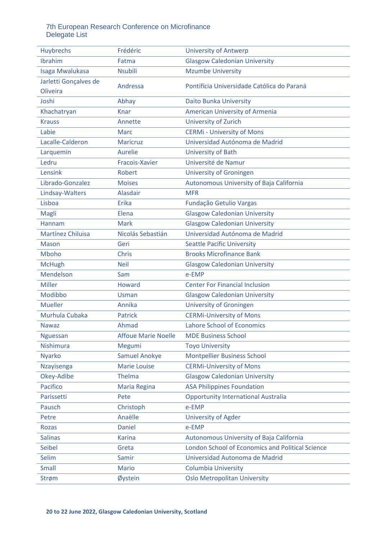## 7th European Research Conference on Microfinance Delegate List

| <b>Huybrechs</b>       | Frédéric                   | <b>University of Antwerp</b>                            |
|------------------------|----------------------------|---------------------------------------------------------|
| Ibrahim                | Fatma                      | <b>Glasgow Caledonian University</b>                    |
| <b>Isaga Mwalukasa</b> | <b>Nsubili</b>             | <b>Mzumbe University</b>                                |
| Jarletti Gonçalves de  | Andressa                   | Pontifícia Universidade Católica do Paraná              |
| Oliveira               |                            |                                                         |
| Joshi                  | Abhay                      | Daito Bunka University                                  |
| Khachatryan            | <b>Knar</b>                | <b>American University of Armenia</b>                   |
| <b>Krauss</b>          | Annette                    | University of Zurich                                    |
| Labie                  | <b>Marc</b>                | <b>CERMi - University of Mons</b>                       |
| Lacalle-Calderon       | <b>Maricruz</b>            | Universidad Autónoma de Madrid                          |
| Larquemin              | <b>Aurelie</b>             | <b>University of Bath</b>                               |
| Ledru                  | Fracois-Xavier             | Université de Namur                                     |
| Lensink                | Robert                     | <b>University of Groningen</b>                          |
| Librado-Gonzalez       | <b>Moises</b>              | Autonomous University of Baja California                |
| Lindsay-Walters        | <b>Alasdair</b>            | <b>MFR</b>                                              |
| Lisboa                 | Erika                      | <b>Fundação Getulio Vargas</b>                          |
| Magli                  | Elena                      | <b>Glasgow Caledonian University</b>                    |
| Hannam                 | <b>Mark</b>                | <b>Glasgow Caledonian University</b>                    |
| Martínez Chiluisa      | Nicolás Sebastián          | Universidad Autónoma de Madrid                          |
| <b>Mason</b>           | Geri                       | <b>Seattle Pacific University</b>                       |
| Mboho                  | Chris                      | <b>Brooks Microfinance Bank</b>                         |
| <b>McHugh</b>          | <b>Neil</b>                | <b>Glasgow Caledonian University</b>                    |
| Mendelson              | Sam                        | e-EMP                                                   |
| <b>Miller</b>          | Howard                     | <b>Center For Financial Inclusion</b>                   |
| Modibbo                | <b>Usman</b>               | <b>Glasgow Caledonian University</b>                    |
| <b>Mueller</b>         | Annika                     | <b>University of Groningen</b>                          |
| Murhula Cubaka         | <b>Patrick</b>             | <b>CERMi-University of Mons</b>                         |
| <b>Nawaz</b>           | Ahmad                      | <b>Lahore School of Economics</b>                       |
| <b>Nguessan</b>        | <b>Affoue Marie Noelle</b> | <b>MDE Business School</b>                              |
| Nishimura              | Megumi                     | <b>Toyo University</b>                                  |
| <b>Nyarko</b>          | <b>Samuel Anokye</b>       | <b>Montpellier Business School</b>                      |
| Nzayisenga             | <b>Marie Louise</b>        | <b>CERMi-University of Mons</b>                         |
| Okey-Adibe             | Thelma                     | <b>Glasgow Caledonian University</b>                    |
| <b>Pacifico</b>        | <b>Maria Regina</b>        | <b>ASA Philippines Foundation</b>                       |
| Parissetti             | Pete                       | <b>Opportunity International Australia</b>              |
| Pausch                 | Christoph                  | e-EMP                                                   |
| Petre                  | Anaëlle                    | <b>University of Agder</b>                              |
| <b>Rozas</b>           | <b>Daniel</b>              | e-EMP                                                   |
| <b>Salinas</b>         | <b>Karina</b>              | Autonomous University of Baja California                |
| <b>Seibel</b>          | Greta                      | <b>London School of Economics and Political Science</b> |
| Selim                  | Samir                      | Universidad Autonoma de Madrid                          |
| <b>Small</b>           | <b>Mario</b>               | <b>Columbia University</b>                              |
| Strøm                  | Øystein                    | <b>Oslo Metropolitan University</b>                     |
|                        |                            |                                                         |